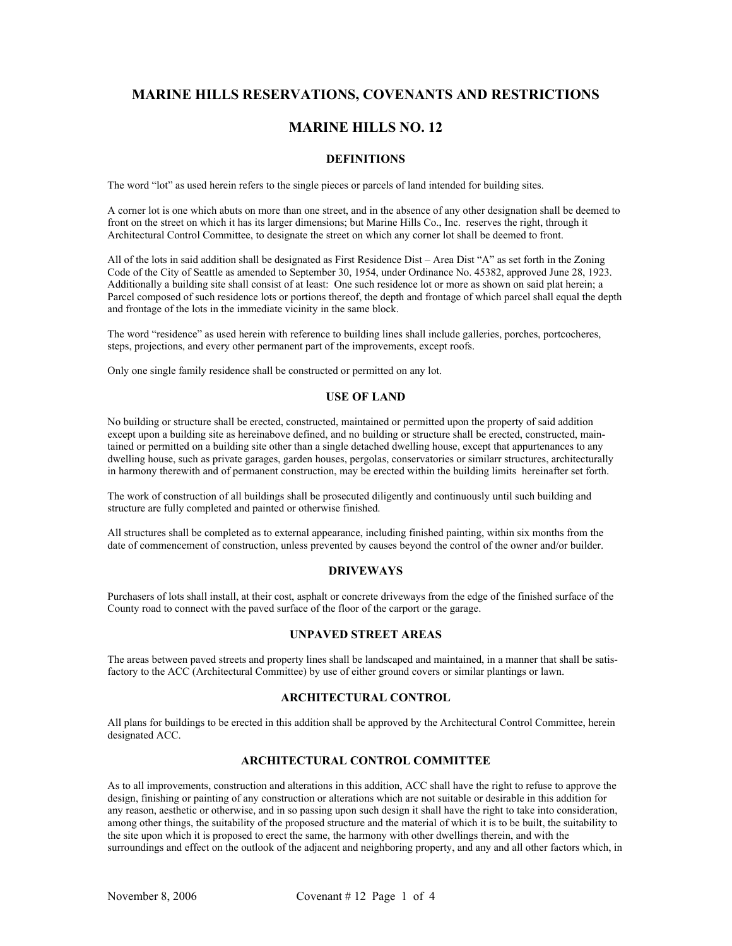# **MARINE HILLS RESERVATIONS, COVENANTS AND RESTRICTIONS**

## **MARINE HILLS NO. 12**

#### **DEFINITIONS**

The word "lot" as used herein refers to the single pieces or parcels of land intended for building sites.

A corner lot is one which abuts on more than one street, and in the absence of any other designation shall be deemed to front on the street on which it has its larger dimensions; but Marine Hills Co., Inc. reserves the right, through it Architectural Control Committee, to designate the street on which any corner lot shall be deemed to front.

All of the lots in said addition shall be designated as First Residence Dist – Area Dist "A" as set forth in the Zoning Code of the City of Seattle as amended to September 30, 1954, under Ordinance No. 45382, approved June 28, 1923. Additionally a building site shall consist of at least: One such residence lot or more as shown on said plat herein; a Parcel composed of such residence lots or portions thereof, the depth and frontage of which parcel shall equal the depth and frontage of the lots in the immediate vicinity in the same block.

The word "residence" as used herein with reference to building lines shall include galleries, porches, portcocheres, steps, projections, and every other permanent part of the improvements, except roofs.

Only one single family residence shall be constructed or permitted on any lot.

#### **USE OF LAND**

No building or structure shall be erected, constructed, maintained or permitted upon the property of said addition except upon a building site as hereinabove defined, and no building or structure shall be erected, constructed, maintained or permitted on a building site other than a single detached dwelling house, except that appurtenances to any dwelling house, such as private garages, garden houses, pergolas, conservatories or similarr structures, architecturally in harmony therewith and of permanent construction, may be erected within the building limits hereinafter set forth.

The work of construction of all buildings shall be prosecuted diligently and continuously until such building and structure are fully completed and painted or otherwise finished.

All structures shall be completed as to external appearance, including finished painting, within six months from the date of commencement of construction, unless prevented by causes beyond the control of the owner and/or builder.

#### **DRIVEWAYS**

Purchasers of lots shall install, at their cost, asphalt or concrete driveways from the edge of the finished surface of the County road to connect with the paved surface of the floor of the carport or the garage.

#### **UNPAVED STREET AREAS**

The areas between paved streets and property lines shall be landscaped and maintained, in a manner that shall be satisfactory to the ACC (Architectural Committee) by use of either ground covers or similar plantings or lawn.

#### **ARCHITECTURAL CONTROL**

All plans for buildings to be erected in this addition shall be approved by the Architectural Control Committee, herein designated ACC.

#### **ARCHITECTURAL CONTROL COMMITTEE**

As to all improvements, construction and alterations in this addition, ACC shall have the right to refuse to approve the design, finishing or painting of any construction or alterations which are not suitable or desirable in this addition for any reason, aesthetic or otherwise, and in so passing upon such design it shall have the right to take into consideration, among other things, the suitability of the proposed structure and the material of which it is to be built, the suitability to the site upon which it is proposed to erect the same, the harmony with other dwellings therein, and with the surroundings and effect on the outlook of the adjacent and neighboring property, and any and all other factors which, in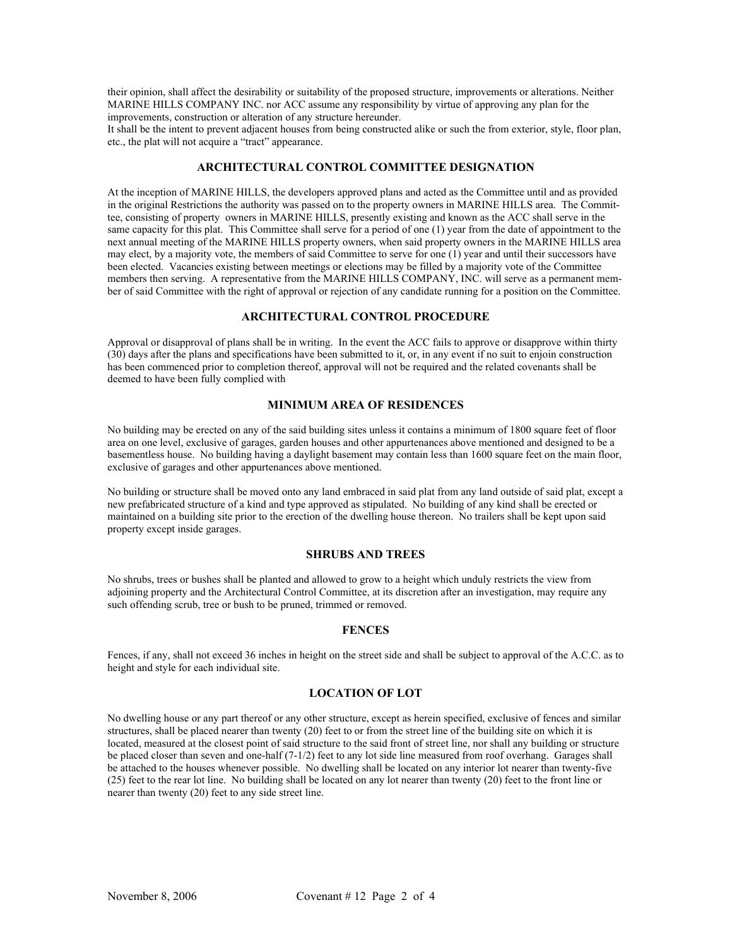their opinion, shall affect the desirability or suitability of the proposed structure, improvements or alterations. Neither MARINE HILLS COMPANY INC. nor ACC assume any responsibility by virtue of approving any plan for the improvements, construction or alteration of any structure hereunder.

It shall be the intent to prevent adjacent houses from being constructed alike or such the from exterior, style, floor plan, etc., the plat will not acquire a "tract" appearance.

#### **ARCHITECTURAL CONTROL COMMITTEE DESIGNATION**

At the inception of MARINE HILLS, the developers approved plans and acted as the Committee until and as provided in the original Restrictions the authority was passed on to the property owners in MARINE HILLS area. The Committee, consisting of property owners in MARINE HILLS, presently existing and known as the ACC shall serve in the same capacity for this plat. This Committee shall serve for a period of one (1) year from the date of appointment to the next annual meeting of the MARINE HILLS property owners, when said property owners in the MARINE HILLS area may elect, by a majority vote, the members of said Committee to serve for one (1) year and until their successors have been elected. Vacancies existing between meetings or elections may be filled by a majority vote of the Committee members then serving. A representative from the MARINE HILLS COMPANY, INC. will serve as a permanent member of said Committee with the right of approval or rejection of any candidate running for a position on the Committee.

#### **ARCHITECTURAL CONTROL PROCEDURE**

Approval or disapproval of plans shall be in writing. In the event the ACC fails to approve or disapprove within thirty (30) days after the plans and specifications have been submitted to it, or, in any event if no suit to enjoin construction has been commenced prior to completion thereof, approval will not be required and the related covenants shall be deemed to have been fully complied with

#### **MINIMUM AREA OF RESIDENCES**

No building may be erected on any of the said building sites unless it contains a minimum of 1800 square feet of floor area on one level, exclusive of garages, garden houses and other appurtenances above mentioned and designed to be a basementless house. No building having a daylight basement may contain less than 1600 square feet on the main floor, exclusive of garages and other appurtenances above mentioned.

No building or structure shall be moved onto any land embraced in said plat from any land outside of said plat, except a new prefabricated structure of a kind and type approved as stipulated. No building of any kind shall be erected or maintained on a building site prior to the erection of the dwelling house thereon. No trailers shall be kept upon said property except inside garages.

#### **SHRUBS AND TREES**

No shrubs, trees or bushes shall be planted and allowed to grow to a height which unduly restricts the view from adjoining property and the Architectural Control Committee, at its discretion after an investigation, may require any such offending scrub, tree or bush to be pruned, trimmed or removed.

#### **FENCES**

Fences, if any, shall not exceed 36 inches in height on the street side and shall be subject to approval of the A.C.C. as to height and style for each individual site.

### **LOCATION OF LOT**

No dwelling house or any part thereof or any other structure, except as herein specified, exclusive of fences and similar structures, shall be placed nearer than twenty (20) feet to or from the street line of the building site on which it is located, measured at the closest point of said structure to the said front of street line, nor shall any building or structure be placed closer than seven and one-half (7-1/2) feet to any lot side line measured from roof overhang. Garages shall be attached to the houses whenever possible. No dwelling shall be located on any interior lot nearer than twenty-five (25) feet to the rear lot line. No building shall be located on any lot nearer than twenty (20) feet to the front line or nearer than twenty (20) feet to any side street line.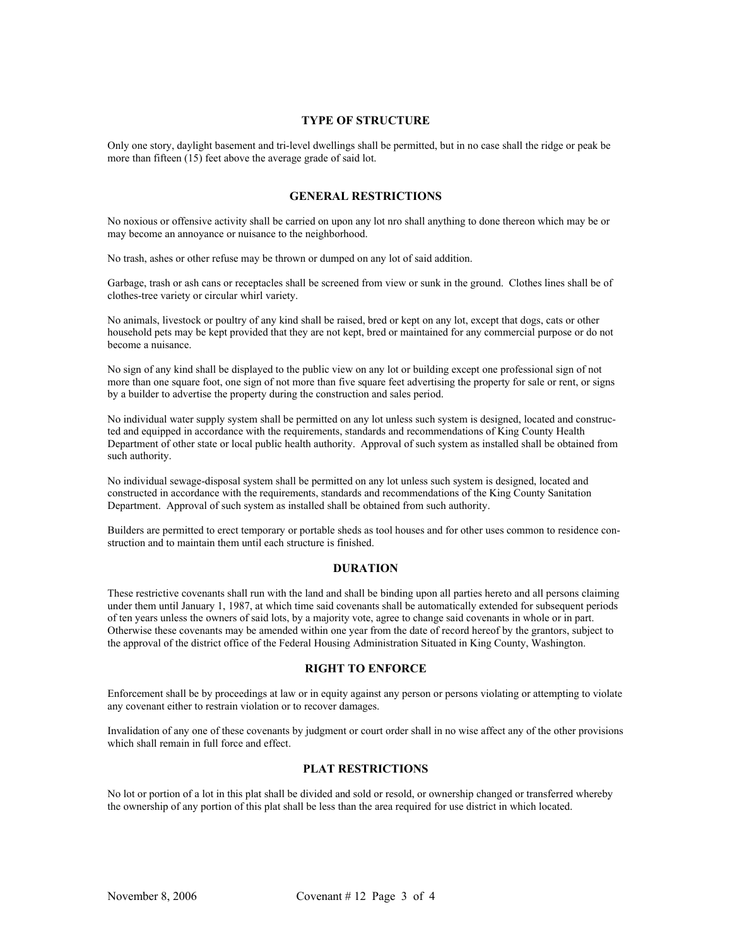#### **TYPE OF STRUCTURE**

Only one story, daylight basement and tri-level dwellings shall be permitted, but in no case shall the ridge or peak be more than fifteen (15) feet above the average grade of said lot.

#### **GENERAL RESTRICTIONS**

No noxious or offensive activity shall be carried on upon any lot nro shall anything to done thereon which may be or may become an annoyance or nuisance to the neighborhood.

No trash, ashes or other refuse may be thrown or dumped on any lot of said addition.

Garbage, trash or ash cans or receptacles shall be screened from view or sunk in the ground. Clothes lines shall be of clothes-tree variety or circular whirl variety.

No animals, livestock or poultry of any kind shall be raised, bred or kept on any lot, except that dogs, cats or other household pets may be kept provided that they are not kept, bred or maintained for any commercial purpose or do not become a nuisance.

No sign of any kind shall be displayed to the public view on any lot or building except one professional sign of not more than one square foot, one sign of not more than five square feet advertising the property for sale or rent, or signs by a builder to advertise the property during the construction and sales period.

No individual water supply system shall be permitted on any lot unless such system is designed, located and constructed and equipped in accordance with the requirements, standards and recommendations of King County Health Department of other state or local public health authority. Approval of such system as installed shall be obtained from such authority.

No individual sewage-disposal system shall be permitted on any lot unless such system is designed, located and constructed in accordance with the requirements, standards and recommendations of the King County Sanitation Department. Approval of such system as installed shall be obtained from such authority.

Builders are permitted to erect temporary or portable sheds as tool houses and for other uses common to residence construction and to maintain them until each structure is finished.

#### **DURATION**

These restrictive covenants shall run with the land and shall be binding upon all parties hereto and all persons claiming under them until January 1, 1987, at which time said covenants shall be automatically extended for subsequent periods of ten years unless the owners of said lots, by a majority vote, agree to change said covenants in whole or in part. Otherwise these covenants may be amended within one year from the date of record hereof by the grantors, subject to the approval of the district office of the Federal Housing Administration Situated in King County, Washington.

#### **RIGHT TO ENFORCE**

Enforcement shall be by proceedings at law or in equity against any person or persons violating or attempting to violate any covenant either to restrain violation or to recover damages.

Invalidation of any one of these covenants by judgment or court order shall in no wise affect any of the other provisions which shall remain in full force and effect.

## **PLAT RESTRICTIONS**

No lot or portion of a lot in this plat shall be divided and sold or resold, or ownership changed or transferred whereby the ownership of any portion of this plat shall be less than the area required for use district in which located.